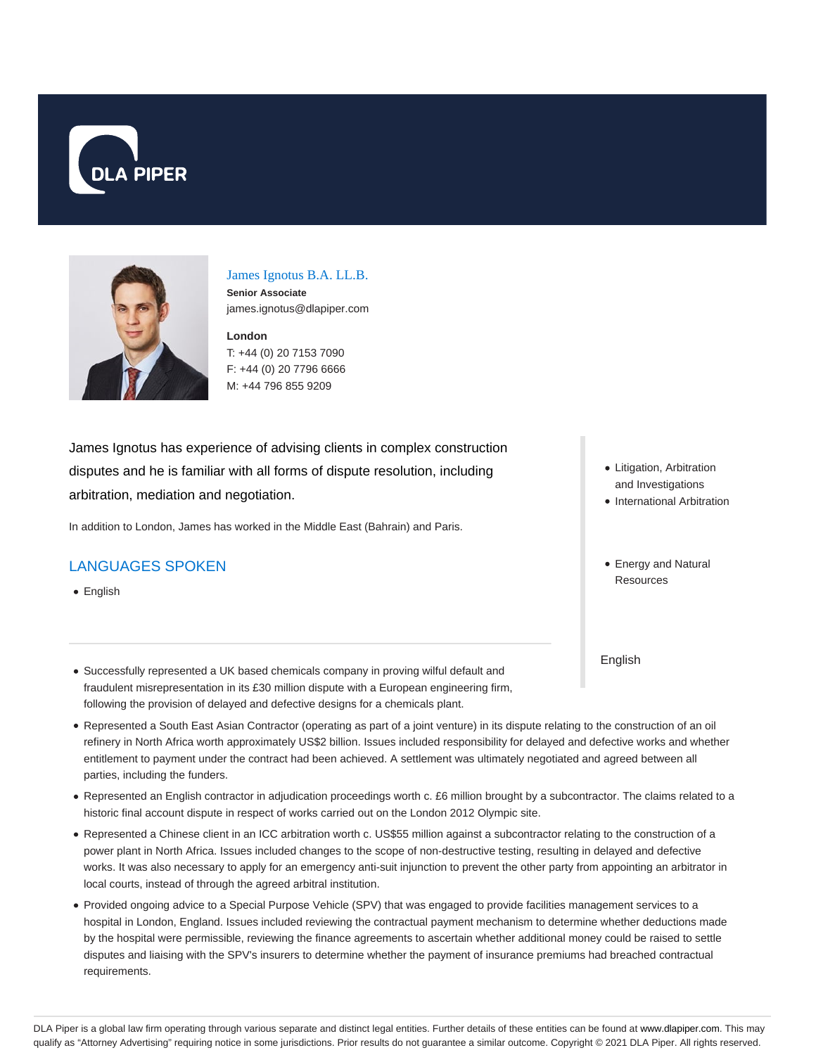



# James Ignotus B.A. LL.B.

**Senior Associate** james.ignotus@dlapiper.com

**London** T: +44 (0) 20 7153 7090 F: +44 (0) 20 7796 6666 M: +44 796 855 9209

James Ignotus has experience of advising clients in complex construction disputes and he is familiar with all forms of dispute resolution, including arbitration, mediation and negotiation.

In addition to London, James has worked in the Middle East (Bahrain) and Paris.

#### LANGUAGES SPOKEN

• English

- Litigation, Arbitration and Investigations
- International Arbitration
- Energy and Natural **Resources**

English

- Successfully represented a UK based chemicals company in proving wilful default and fraudulent misrepresentation in its £30 million dispute with a European engineering firm, following the provision of delayed and defective designs for a chemicals plant.
- Represented a South East Asian Contractor (operating as part of a joint venture) in its dispute relating to the construction of an oil refinery in North Africa worth approximately US\$2 billion. Issues included responsibility for delayed and defective works and whether entitlement to payment under the contract had been achieved. A settlement was ultimately negotiated and agreed between all parties, including the funders.
- Represented an English contractor in adjudication proceedings worth c. £6 million brought by a subcontractor. The claims related to a historic final account dispute in respect of works carried out on the London 2012 Olympic site.
- Represented a Chinese client in an ICC arbitration worth c. US\$55 million against a subcontractor relating to the construction of a power plant in North Africa. Issues included changes to the scope of non-destructive testing, resulting in delayed and defective works. It was also necessary to apply for an emergency anti-suit injunction to prevent the other party from appointing an arbitrator in local courts, instead of through the agreed arbitral institution.
- Provided ongoing advice to a Special Purpose Vehicle (SPV) that was engaged to provide facilities management services to a hospital in London, England. Issues included reviewing the contractual payment mechanism to determine whether deductions made by the hospital were permissible, reviewing the finance agreements to ascertain whether additional money could be raised to settle disputes and liaising with the SPV's insurers to determine whether the payment of insurance premiums had breached contractual requirements.